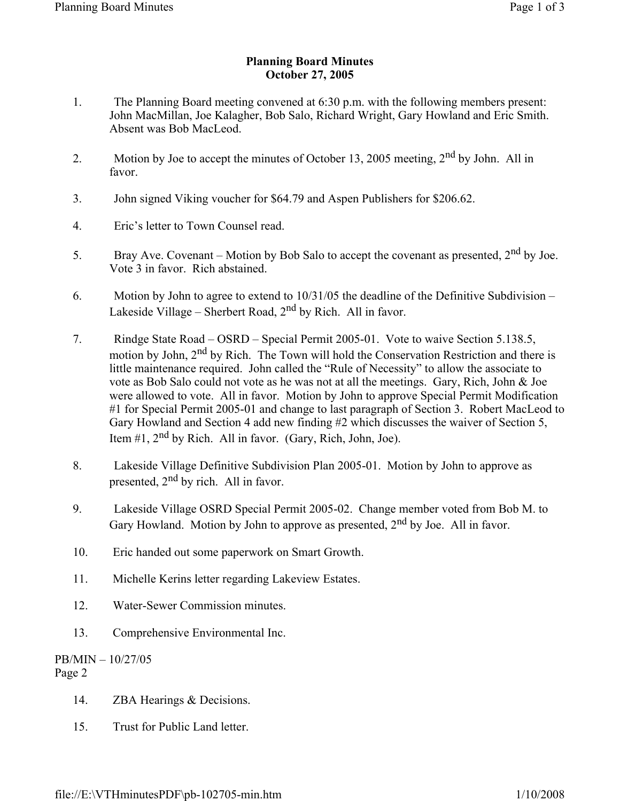## **Planning Board Minutes October 27, 2005**

- 1. The Planning Board meeting convened at 6:30 p.m. with the following members present: John MacMillan, Joe Kalagher, Bob Salo, Richard Wright, Gary Howland and Eric Smith. Absent was Bob MacLeod.
- 2. Motion by Joe to accept the minutes of October 13, 2005 meeting, 2<sup>nd</sup> by John. All in favor.
- 3. John signed Viking voucher for \$64.79 and Aspen Publishers for \$206.62.
- 4. Eric's letter to Town Counsel read.
- 5. Bray Ave. Covenant Motion by Bob Salo to accept the covenant as presented,  $2<sup>nd</sup>$  by Joe. Vote 3 in favor. Rich abstained.
- 6. Motion by John to agree to extend to 10/31/05 the deadline of the Definitive Subdivision Lakeside Village – Sherbert Road,  $2<sup>nd</sup>$  by Rich. All in favor.
- 7. Rindge State Road OSRD Special Permit 2005-01. Vote to waive Section 5.138.5, motion by John, 2<sup>nd</sup> by Rich. The Town will hold the Conservation Restriction and there is little maintenance required. John called the "Rule of Necessity" to allow the associate to vote as Bob Salo could not vote as he was not at all the meetings. Gary, Rich, John & Joe were allowed to vote. All in favor. Motion by John to approve Special Permit Modification #1 for Special Permit 2005-01 and change to last paragraph of Section 3. Robert MacLeod to Gary Howland and Section 4 add new finding #2 which discusses the waiver of Section 5, Item  $\#1$ ,  $2^{nd}$  by Rich. All in favor. (Gary, Rich, John, Joe).
- 8. Lakeside Village Definitive Subdivision Plan 2005-01. Motion by John to approve as presented,  $2<sup>nd</sup>$  by rich. All in favor.
- 9. Lakeside Village OSRD Special Permit 2005-02. Change member voted from Bob M. to Gary Howland. Motion by John to approve as presented,  $2<sup>nd</sup>$  by Joe. All in favor.
- 10. Eric handed out some paperwork on Smart Growth.
- 11. Michelle Kerins letter regarding Lakeview Estates.
- 12. Water-Sewer Commission minutes.
- 13. Comprehensive Environmental Inc.

## PB/MIN – 10/27/05 Page 2

- 14. ZBA Hearings & Decisions.
- 15. Trust for Public Land letter.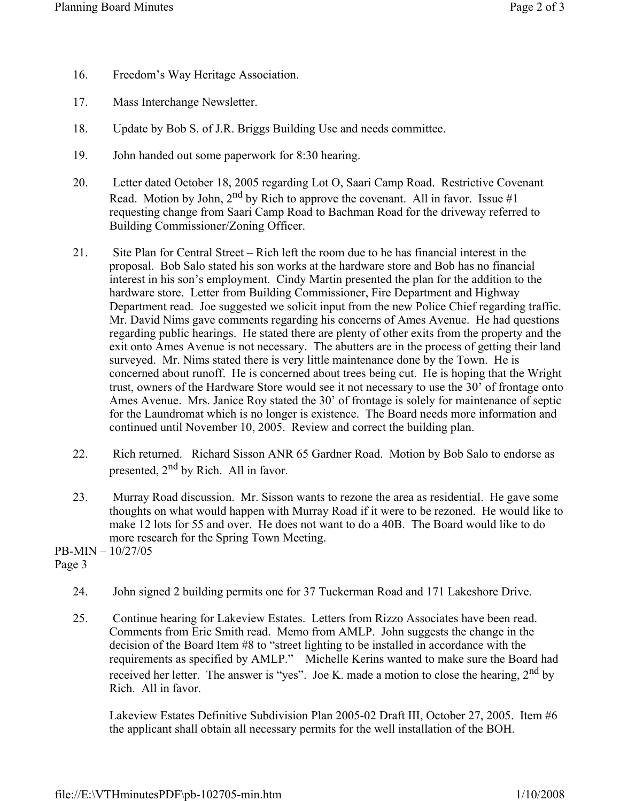- 16. Freedom's Way Heritage Association.
- 17. Mass Interchange Newsletter.
- 18. Update by Bob S. of J.R. Briggs Building Use and needs committee.
- 19. John handed out some paperwork for 8:30 hearing.
- 20. Letter dated October 18, 2005 regarding Lot O, Saari Camp Road. Restrictive Covenant Read. Motion by John,  $2^{nd}$  by Rich to approve the covenant. All in favor. Issue #1 requesting change from Saari Camp Road to Bachman Road for the driveway referred to Building Commissioner/Zoning Officer.
- 21. Site Plan for Central Street Rich left the room due to he has financial interest in the proposal. Bob Salo stated his son works at the hardware store and Bob has no financial interest in his son's employment. Cindy Martin presented the plan for the addition to the hardware store. Letter from Building Commissioner, Fire Department and Highway Department read. Joe suggested we solicit input from the new Police Chief regarding traffic. Mr. David Nims gave comments regarding his concerns of Ames Avenue. He had questions regarding public hearings. He stated there are plenty of other exits from the property and the exit onto Ames Avenue is not necessary. The abutters are in the process of getting their land surveyed. Mr. Nims stated there is very little maintenance done by the Town. He is concerned about runoff. He is concerned about trees being cut. He is hoping that the Wright trust, owners of the Hardware Store would see it not necessary to use the 30' of frontage onto Ames Avenue. Mrs. Janice Roy stated the 30' of frontage is solely for maintenance of septic for the Laundromat which is no longer is existence. The Board needs more information and continued until November 10, 2005. Review and correct the building plan.
- 22. Rich returned. Richard Sisson ANR 65 Gardner Road. Motion by Bob Salo to endorse as presented, 2<sup>nd</sup> by Rich. All in favor.
- 23. Murray Road discussion. Mr. Sisson wants to rezone the area as residential. He gave some thoughts on what would happen with Murray Road if it were to be rezoned. He would like to make 12 lots for 55 and over. He does not want to do a 40B. The Board would like to do more research for the Spring Town Meeting.

PB-MIN – 10/27/05 Page 3

- 24. John signed 2 building permits one for 37 Tuckerman Road and 171 Lakeshore Drive.
- 25. Continue hearing for Lakeview Estates. Letters from Rizzo Associates have been read. Comments from Eric Smith read. Memo from AMLP. John suggests the change in the decision of the Board Item #8 to "street lighting to be installed in accordance with the requirements as specified by AMLP." Michelle Kerins wanted to make sure the Board had received her letter. The answer is "yes". Joe K. made a motion to close the hearing,  $2<sup>nd</sup>$  by Rich. All in favor.

Lakeview Estates Definitive Subdivision Plan 2005-02 Draft III, October 27, 2005. Item #6 the applicant shall obtain all necessary permits for the well installation of the BOH.